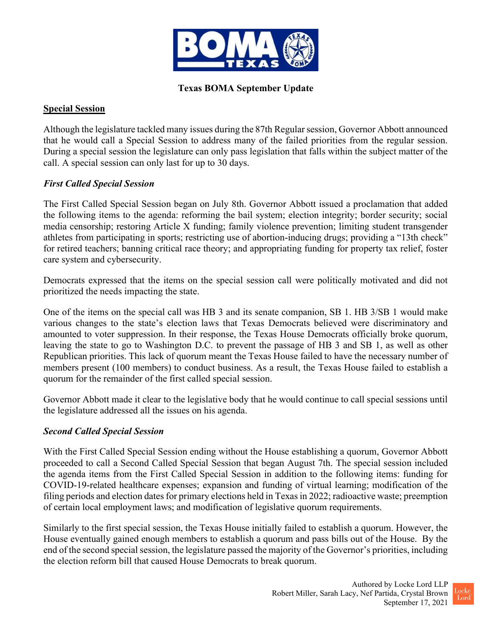

# Texas BOMA September Update

#### Special Session

Although the legislature tackled many issues during the 87th Regular session, Governor Abbott announced that he would call a Special Session to address many of the failed priorities from the regular session. During a special session the legislature can only pass legislation that falls within the subject matter of the call. A special session can only last for up to 30 days.

## First Called Special Session

The First Called Special Session began on July 8th. Governor Abbott issued a proclamation that added the following items to the agenda: reforming the bail system; election integrity; border security; social media censorship; restoring Article X funding; family violence prevention; limiting student transgender athletes from participating in sports; restricting use of abortion-inducing drugs; providing a "13th check" for retired teachers; banning critical race theory; and appropriating funding for property tax relief, foster care system and cybersecurity.

Democrats expressed that the items on the special session call were politically motivated and did not prioritized the needs impacting the state.

One of the items on the special call was HB 3 and its senate companion, SB 1. HB 3/SB 1 would make various changes to the state's election laws that Texas Democrats believed were discriminatory and amounted to voter suppression. In their response, the Texas House Democrats officially broke quorum, leaving the state to go to Washington D.C. to prevent the passage of HB 3 and SB 1, as well as other Republican priorities. This lack of quorum meant the Texas House failed to have the necessary number of members present (100 members) to conduct business. As a result, the Texas House failed to establish a quorum for the remainder of the first called special session.

Governor Abbott made it clear to the legislative body that he would continue to call special sessions until the legislature addressed all the issues on his agenda.

## Second Called Special Session

With the First Called Special Session ending without the House establishing a quorum, Governor Abbott proceeded to call a Second Called Special Session that began August 7th. The special session included the agenda items from the First Called Special Session in addition to the following items: funding for COVID-19-related healthcare expenses; expansion and funding of virtual learning; modification of the filing periods and election dates for primary elections held in Texas in 2022; radioactive waste; preemption of certain local employment laws; and modification of legislative quorum requirements.

Similarly to the first special session, the Texas House initially failed to establish a quorum. However, the House eventually gained enough members to establish a quorum and pass bills out of the House. By the end of the second special session, the legislature passed the majority of the Governor's priorities, including the election reform bill that caused House Democrats to break quorum.

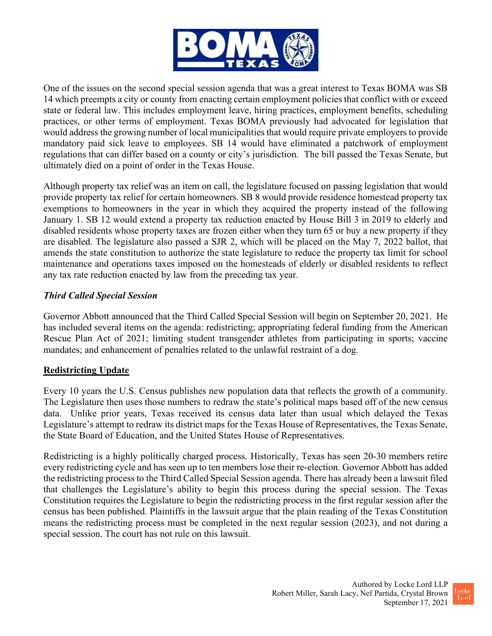

One of the issues on the second special session agenda that was a great interest to Texas BOMA was SB 14 which preempts a city or county from enacting certain employment policies that conflict with or exceed state or federal law. This includes employment leave, hiring practices, employment benefits, scheduling practices, or other terms of employment. Texas BOMA previously had advocated for legislation that would address the growing number of local municipalities that would require private employers to provide mandatory paid sick leave to employees. SB 14 would have eliminated a patchwork of employment regulations that can differ based on a county or city's jurisdiction. The bill passed the Texas Senate, but ultimately died on a point of order in the Texas House.

Although property tax relief was an item on call, the legislature focused on passing legislation that would provide property tax relief for certain homeowners. SB 8 would provide residence homestead property tax exemptions to homeowners in the year in which they acquired the property instead of the following January 1. SB 12 would extend a property tax reduction enacted by House Bill 3 in 2019 to elderly and disabled residents whose property taxes are frozen either when they turn 65 or buy a new property if they are disabled. The legislature also passed a SJR 2, which will be placed on the May 7, 2022 ballot, that amends the state constitution to authorize the state legislature to reduce the property tax limit for school maintenance and operations taxes imposed on the homesteads of elderly or disabled residents to reflect any tax rate reduction enacted by law from the preceding tax year.

## Third Called Special Session

Governor Abbott announced that the Third Called Special Session will begin on September 20, 2021. He has included several items on the agenda: redistricting; appropriating federal funding from the American Rescue Plan Act of 2021; limiting student transgender athletes from participating in sports; vaccine mandates; and enhancement of penalties related to the unlawful restraint of a dog.

## Redistricting Update

Every 10 years the U.S. Census publishes new population data that reflects the growth of a community. The Legislature then uses those numbers to redraw the state's political maps based off of the new census data. Unlike prior years, Texas received its census data later than usual which delayed the Texas Legislature's attempt to redraw its district maps for the Texas House of Representatives, the Texas Senate, the State Board of Education, and the United States House of Representatives.

Redistricting is a highly politically charged process. Historically, Texas has seen 20-30 members retire every redistricting cycle and has seen up to ten members lose their re-election. Governor Abbott has added the redistricting process to the Third Called Special Session agenda. There has already been a lawsuit filed that challenges the Legislature's ability to begin this process during the special session. The Texas Constitution requires the Legislature to begin the redistricting process in the first regular session after the census has been published. Plaintiffs in the lawsuit argue that the plain reading of the Texas Constitution means the redistricting process must be completed in the next regular session (2023), and not during a special session. The court has not rule on this lawsuit.